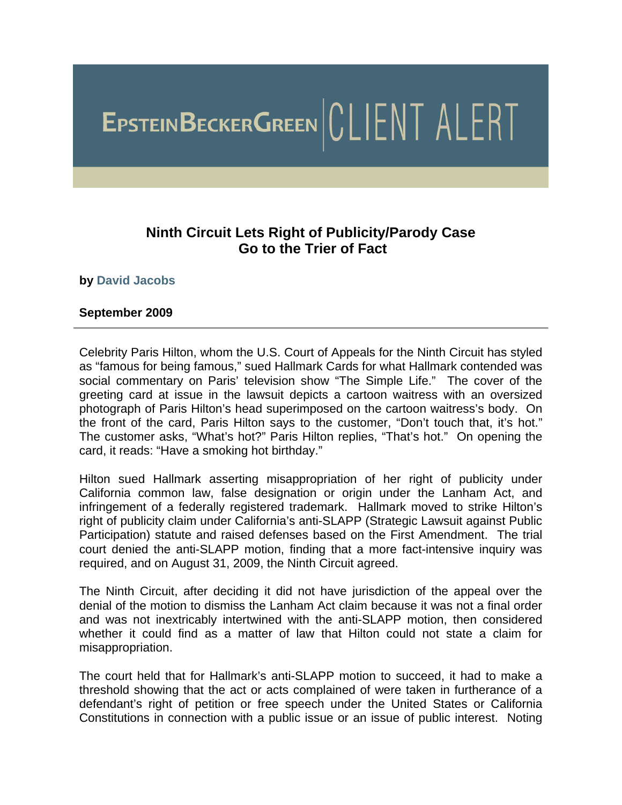# EPSTEINBECKERGREEN CLIENT ALERT

### **Ninth Circuit Lets Right of Publicity/Parody Case Go to the Trier of Fact**

#### **by [David Jacobs](http://www.ebglaw.com/showbio.aspx?Show=2327)**

#### **September 2009**

Celebrity Paris Hilton, whom the U.S. Court of Appeals for the Ninth Circuit has styled as "famous for being famous," sued Hallmark Cards for what Hallmark contended was social commentary on Paris' television show "The Simple Life." The cover of the greeting card at issue in the lawsuit depicts a cartoon waitress with an oversized photograph of Paris Hilton's head superimposed on the cartoon waitress's body. On the front of the card, Paris Hilton says to the customer, "Don't touch that, it's hot." The customer asks, "What's hot?" Paris Hilton replies, "That's hot." On opening the card, it reads: "Have a smoking hot birthday."

Hilton sued Hallmark asserting misappropriation of her right of publicity under California common law, false designation or origin under the Lanham Act, and infringement of a federally registered trademark. Hallmark moved to strike Hilton's right of publicity claim under California's anti-SLAPP (Strategic Lawsuit against Public Participation) statute and raised defenses based on the First Amendment. The trial court denied the anti-SLAPP motion, finding that a more fact-intensive inquiry was required, and on August 31, 2009, the Ninth Circuit agreed.

The Ninth Circuit, after deciding it did not have jurisdiction of the appeal over the denial of the motion to dismiss the Lanham Act claim because it was not a final order and was not inextricably intertwined with the anti-SLAPP motion, then considered whether it could find as a matter of law that Hilton could not state a claim for misappropriation.

The court held that for Hallmark's anti-SLAPP motion to succeed, it had to make a threshold showing that the act or acts complained of were taken in furtherance of a defendant's right of petition or free speech under the United States or California Constitutions in connection with a public issue or an issue of public interest. Noting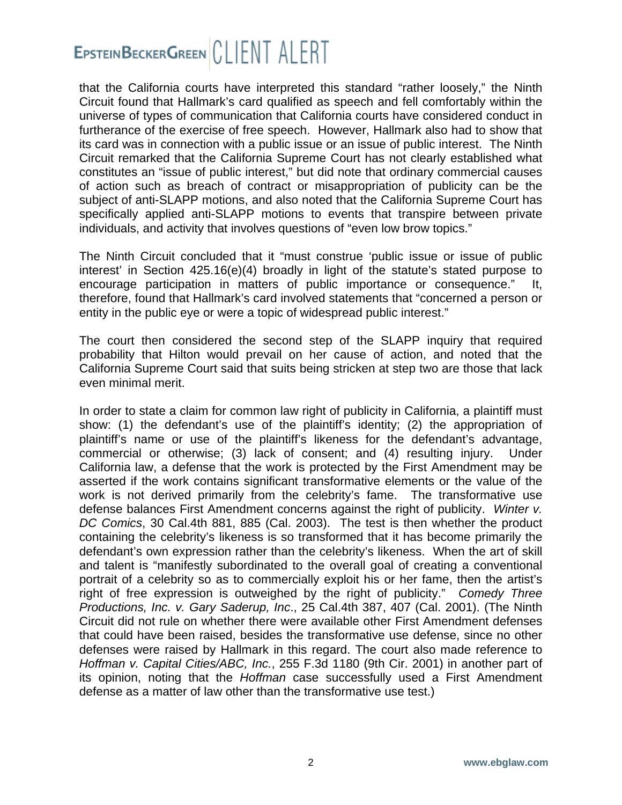## EPSTEINBECKERGREEN CLIENT ALERT

that the California courts have interpreted this standard "rather loosely," the Ninth Circuit found that Hallmark's card qualified as speech and fell comfortably within the universe of types of communication that California courts have considered conduct in furtherance of the exercise of free speech. However, Hallmark also had to show that its card was in connection with a public issue or an issue of public interest. The Ninth Circuit remarked that the California Supreme Court has not clearly established what constitutes an "issue of public interest," but did note that ordinary commercial causes of action such as breach of contract or misappropriation of publicity can be the subject of anti-SLAPP motions, and also noted that the California Supreme Court has specifically applied anti-SLAPP motions to events that transpire between private individuals, and activity that involves questions of "even low brow topics."

The Ninth Circuit concluded that it "must construe 'public issue or issue of public interest' in Section 425.16(e)(4) broadly in light of the statute's stated purpose to encourage participation in matters of public importance or consequence." It, therefore, found that Hallmark's card involved statements that "concerned a person or entity in the public eye or were a topic of widespread public interest."

The court then considered the second step of the SLAPP inquiry that required probability that Hilton would prevail on her cause of action, and noted that the California Supreme Court said that suits being stricken at step two are those that lack even minimal merit.

In order to state a claim for common law right of publicity in California, a plaintiff must show: (1) the defendant's use of the plaintiff's identity; (2) the appropriation of plaintiff's name or use of the plaintiff's likeness for the defendant's advantage, commercial or otherwise; (3) lack of consent; and (4) resulting injury. Under California law, a defense that the work is protected by the First Amendment may be asserted if the work contains significant transformative elements or the value of the work is not derived primarily from the celebrity's fame. The transformative use defense balances First Amendment concerns against the right of publicity. *Winter v. DC Comics*, 30 Cal.4th 881, 885 (Cal. 2003). The test is then whether the product containing the celebrity's likeness is so transformed that it has become primarily the defendant's own expression rather than the celebrity's likeness. When the art of skill and talent is "manifestly subordinated to the overall goal of creating a conventional portrait of a celebrity so as to commercially exploit his or her fame, then the artist's right of free expression is outweighed by the right of publicity." *Comedy Three Productions, Inc. v. Gary Saderup, Inc*., 25 Cal.4th 387, 407 (Cal. 2001). (The Ninth Circuit did not rule on whether there were available other First Amendment defenses that could have been raised, besides the transformative use defense, since no other defenses were raised by Hallmark in this regard. The court also made reference to *Hoffman v. Capital Cities/ABC, Inc.*, 255 F.3d 1180 (9th Cir. 2001) in another part of its opinion, noting that the *Hoffman* case successfully used a First Amendment defense as a matter of law other than the transformative use test.)